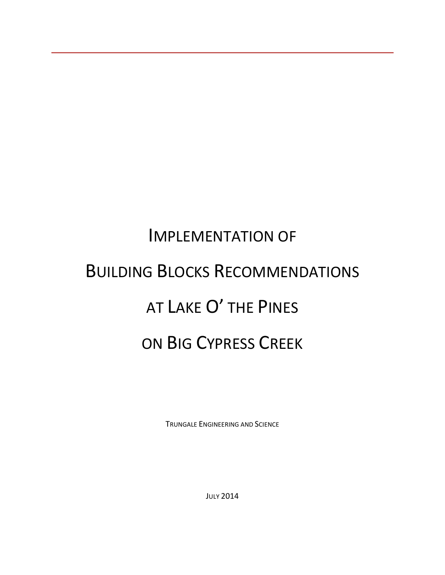# IMPLEMENTATION OF BUILDING BLOCKS RECOMMENDATIONS AT LAKE O' THE PINES ON BIG CYPRESS CREEK

TRUNGALE ENGINEERING AND SCIENCE

JULY 2014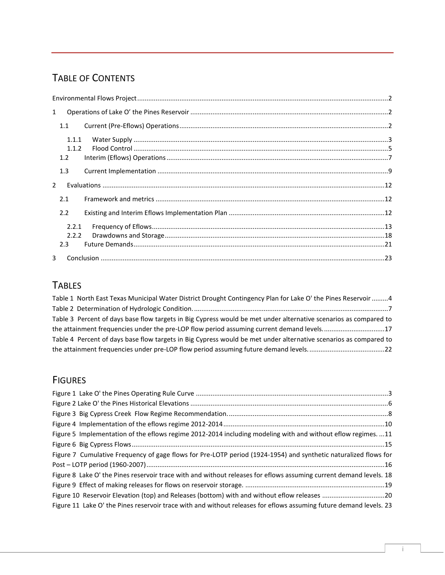# TABLE OF CONTENTS

| $\mathbf{1}$   |                       |  |  |  |  |  |  |
|----------------|-----------------------|--|--|--|--|--|--|
|                | 1.1                   |  |  |  |  |  |  |
|                | 1.1.1<br>1.1.2<br>1.2 |  |  |  |  |  |  |
|                | 1.3                   |  |  |  |  |  |  |
| $\overline{2}$ |                       |  |  |  |  |  |  |
|                | 2.1                   |  |  |  |  |  |  |
|                | 2.2                   |  |  |  |  |  |  |
|                | 2.2.1<br>2.2.2<br>2.3 |  |  |  |  |  |  |
| 3              |                       |  |  |  |  |  |  |

# **TABLES**

| Table 1 North East Texas Municipal Water District Drought Contingency Plan for Lake O' the Pines Reservoir 4     |
|------------------------------------------------------------------------------------------------------------------|
|                                                                                                                  |
| Table 3 Percent of days base flow targets in Big Cypress would be met under alternative scenarios as compared to |
| the attainment frequencies under the pre-LOP flow period assuming current demand levels17                        |
| Table 4 Percent of days base flow targets in Big Cypress would be met under alternative scenarios as compared to |
|                                                                                                                  |

# FIGURES

| Figure 5 Implementation of the eflows regime 2012-2014 including modeling with and without eflow regimes. 11       |
|--------------------------------------------------------------------------------------------------------------------|
|                                                                                                                    |
| Figure 7 Cumulative Frequency of gage flows for Pre-LOTP period (1924-1954) and synthetic naturalized flows for    |
|                                                                                                                    |
| Figure 8 Lake O' the Pines reservoir trace with and without releases for eflows assuming current demand levels. 18 |
|                                                                                                                    |
| Figure 10 Reservoir Elevation (top) and Releases (bottom) with and without eflow releases 20                       |
| Figure 11 Lake O' the Pines reservoir trace with and without releases for eflows assuming future demand levels. 23 |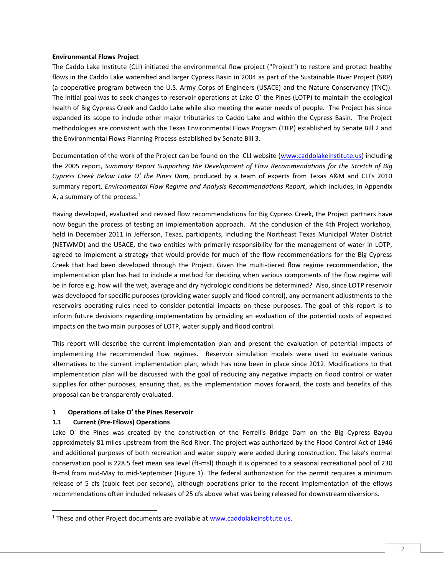## <span id="page-2-0"></span>**Environmental Flows Project**

The Caddo Lake Institute (CLI) initiated the environmental flow project ("Project") to restore and protect healthy flows in the Caddo Lake watershed and larger Cypress Basin in 2004 as part of the Sustainable River Project (SRP) (a cooperative program between the U.S. Army Corps of Engineers (USACE) and the Nature Conservancy (TNC)). The initial goal was to seek changes to reservoir operations at Lake O' the Pines (LOTP) to maintain the ecological health of Big Cypress Creek and Caddo Lake while also meeting the water needs of people. The Project has since expanded its scope to include other major tributaries to Caddo Lake and within the Cypress Basin. The Project methodologies are consistent with the Texas Environmental Flows Program (TIFP) established by Senate Bill 2 and the Environmental Flows Planning Process established by Senate Bill 3.

Documentation of the work of the Project can be found on the CLI website [\(www.caddolakeinstitute.us\)](http://www.caddolakeinstitute.us/) including the 2005 report, *Summary Report Supporting the Development of Flow Recommendations for the Stretch of Big Cypress Creek Below Lake O' the Pines Dam,* produced by a team of experts from Texas A&M and CLI's 2010 summary report, *Environmental Flow Regime and Analysis Recommendations Report,* which includes, in Appendix A, a summary of the process. $1$ 

Having developed, evaluated and revised flow recommendations for Big Cypress Creek, the Project partners have now begun the process of testing an implementation approach. At the conclusion of the 4th Project workshop, held in December 2011 in Jefferson, Texas, participants, including the Northeast Texas Municipal Water District (NETWMD) and the USACE, the two entities with primarily responsibility for the management of water in LOTP, agreed to implement a strategy that would provide for much of the flow recommendations for the Big Cypress Creek that had been developed through the Project. Given the multi-tiered flow regime recommendation, the implementation plan has had to include a method for deciding when various components of the flow regime will be in force e.g. how will the wet, average and dry hydrologic conditions be determined? Also, since LOTP reservoir was developed for specific purposes (providing water supply and flood control), any permanent adjustments to the reservoirs operating rules need to consider potential impacts on these purposes. The goal of this report is to inform future decisions regarding implementation by providing an evaluation of the potential costs of expected impacts on the two main purposes of LOTP, water supply and flood control.

This report will describe the current implementation plan and present the evaluation of potential impacts of implementing the recommended flow regimes. Reservoir simulation models were used to evaluate various alternatives to the current implementation plan, which has now been in place since 2012. Modifications to that implementation plan will be discussed with the goal of reducing any negative impacts on flood control or water supplies for other purposes, ensuring that, as the implementation moves forward, the costs and benefits of this proposal can be transparently evaluated.

# <span id="page-2-1"></span>**1 Operations of Lake O' the Pines Reservoir**

# <span id="page-2-2"></span>**1.1 Current (Pre-Eflows) Operations**

 $\overline{a}$ 

Lake O' the Pines was created by the construction of the Ferrell's Bridge Dam on the Big Cypress Bayou approximately 81 miles upstream from the Red River. The project was authorized by the Flood Control Act of 1946 and additional purposes of both recreation and water supply were added during construction. The lake's normal conservation pool is 228.5 feet mean sea level (ft-msl) though it is operated to a seasonal recreational pool of 230 ft-msl from mid-May to mid-September [\(Figure 1\)](#page-3-1). The federal authorization for the permit requires a minimum release of 5 cfs (cubic feet per second), although operations prior to the recent implementation of the eflows recommendations often included releases of 25 cfs above what was being released for downstream diversions.

<sup>&</sup>lt;sup>1</sup> These and other Project documents are available at [www.caddolakeinstitute.us.](http://www.caddolakeinstitute.us/)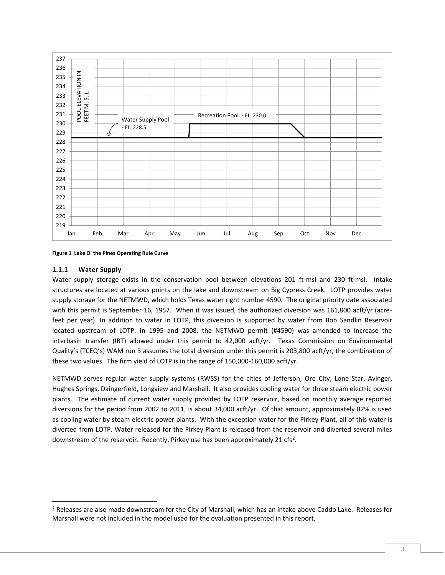

<span id="page-3-1"></span>**Figure 1 Lake O' the Pines Operating Rule Curve**

## <span id="page-3-0"></span>**1.1.1 Water Supply**

 $\overline{a}$ 

Water supply storage exists in the conservation pool between elevations 201 ft-msl and 230 ft-msl. Intake structures are located at various points on the lake and downstream on Big Cypress Creek. LOTP provides water supply storage for the NETMWD, which holds Texas water right number 4590. The original priority date associated with this permit is September 16, 1957. When it was issued, the authorized diversion was 161,800 acft/yr (acrefeet per year). In addition to water in LOTP, this diversion is supported by water from Bob Sandlin Reservoir located upstream of LOTP. In 1995 and 2008, the NETMWD permit (#4590) was amended to increase the interbasin transfer (IBT) allowed under this permit to 42,000 acft/yr. Texas Commission on Environmental Quality's (TCEQ's) WAM run 3 assumes the total diversion under this permit is 203,800 acft/yr, the combination of these two values. The firm yield of LOTP is in the range of 150,000-160,000 acft/yr.

NETMWD serves regular water supply systems (RWSS) for the cities of Jefferson, Ore City, Lone Star, Avinger, Hughes Springs, Daingerfield, Longview and Marshall. It also provides cooling water for three steam electric power plants. The estimate of current water supply provided by LOTP reservoir, based on monthly average reported diversions for the period from 2002 to 2011, is about 34,000 acft/yr. Of that amount, approximately 82% is used as cooling water by steam electric power plants. With the exception water for the Pirkey Plant, all of this water is diverted from LOTP. Water released for the Pirkey Plant is released from the reservoir and diverted several miles downstream of the reservoir. Recently, Pirkey use has been approximately 21 cfs<sup>2</sup>.

<sup>&</sup>lt;sup>2</sup> Releases are also made downstream for the City of Marshall, which has an intake above Caddo Lake. Releases for Marshall were not included in the model used for the evaluation presented in this report.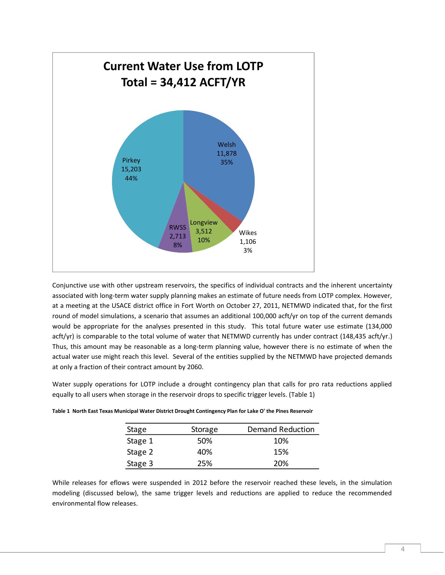

Conjunctive use with other upstream reservoirs, the specifics of individual contracts and the inherent uncertainty associated with long-term water supply planning makes an estimate of future needs from LOTP complex. However, at a meeting at the USACE district office in Fort Worth on October 27, 2011, NETMWD indicated that, for the first round of model simulations, a scenario that assumes an additional 100,000 acft/yr on top of the current demands would be appropriate for the analyses presented in this study. This total future water use estimate (134,000 acft/yr) is comparable to the total volume of water that NETMWD currently has under contract (148,435 acft/yr.) Thus, this amount may be reasonable as a long-term planning value, however there is no estimate of when the actual water use might reach this level. Several of the entities supplied by the NETMWD have projected demands at only a fraction of their contract amount by 2060.

Water supply operations for LOTP include a drought contingency plan that calls for pro rata reductions applied equally to all users when storage in the reservoir drops to specific trigger levels. [\(Table 1\)](#page-4-0)

| Stage   | Storage | <b>Demand Reduction</b> |
|---------|---------|-------------------------|
| Stage 1 | 50%     | 10%                     |
| Stage 2 | 40%     | 15%                     |
| Stage 3 | 25%     | 20%                     |

<span id="page-4-0"></span>**Table 1 North East Texas Municipal Water District Drought Contingency Plan for Lake O' the Pines Reservoir**

While releases for eflows were suspended in 2012 before the reservoir reached these levels, in the simulation modeling (discussed below), the same trigger levels and reductions are applied to reduce the recommended environmental flow releases.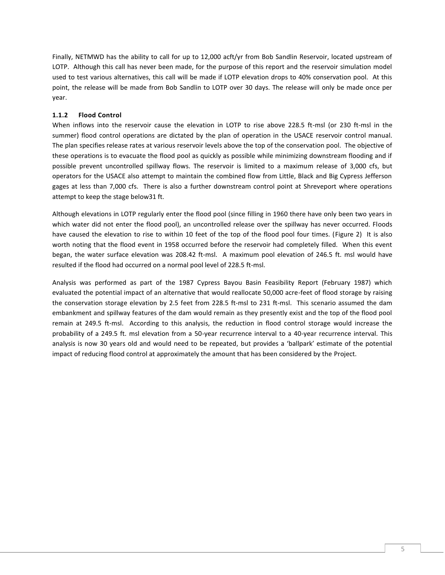Finally, NETMWD has the ability to call for up to 12,000 acft/yr from Bob Sandlin Reservoir, located upstream of LOTP. Although this call has never been made, for the purpose of this report and the reservoir simulation model used to test various alternatives, this call will be made if LOTP elevation drops to 40% conservation pool. At this point, the release will be made from Bob Sandlin to LOTP over 30 days. The release will only be made once per year.

# <span id="page-5-0"></span>**1.1.2 Flood Control**

When inflows into the reservoir cause the elevation in LOTP to rise above 228.5 ft-msl (or 230 ft-msl in the summer) flood control operations are dictated by the plan of operation in the USACE reservoir control manual. The plan specifies release rates at various reservoir levels above the top of the conservation pool. The objective of these operations is to evacuate the flood pool as quickly as possible while minimizing downstream flooding and if possible prevent uncontrolled spillway flows. The reservoir is limited to a maximum release of 3,000 cfs, but operators for the USACE also attempt to maintain the combined flow from Little, Black and Big Cypress Jefferson gages at less than 7,000 cfs. There is also a further downstream control point at Shreveport where operations attempt to keep the stage below31 ft.

Although elevations in LOTP regularly enter the flood pool (since filling in 1960 there have only been two years in which water did not enter the flood pool), an uncontrolled release over the spillway has never occurred. Floods have caused the elevation to rise to within 10 feet of the top of the flood pool four times. [\(Figure 2\)](#page-6-0) It is also worth noting that the flood event in 1958 occurred before the reservoir had completely filled. When this event began, the water surface elevation was 208.42 ft-msl. A maximum pool elevation of 246.5 ft. msl would have resulted if the flood had occurred on a normal pool level of 228.5 ft-msl.

Analysis was performed as part of the 1987 Cypress Bayou Basin Feasibility Report (February 1987) which evaluated the potential impact of an alternative that would reallocate 50,000 acre-feet of flood storage by raising the conservation storage elevation by 2.5 feet from 228.5 ft-msl to 231 ft-msl. This scenario assumed the dam embankment and spillway features of the dam would remain as they presently exist and the top of the flood pool remain at 249.5 ft-msl. According to this analysis, the reduction in flood control storage would increase the probability of a 249.5 ft. msl elevation from a 50-year recurrence interval to a 40-year recurrence interval. This analysis is now 30 years old and would need to be repeated, but provides a 'ballpark' estimate of the potential impact of reducing flood control at approximately the amount that has been considered by the Project.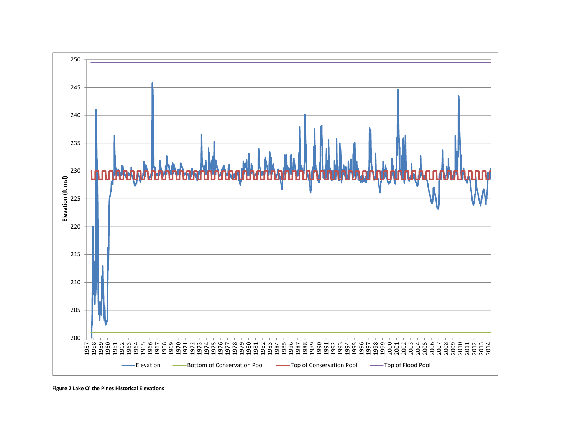

<span id="page-6-0"></span>**Figure 2 Lake O' the Pines Historical Elevations**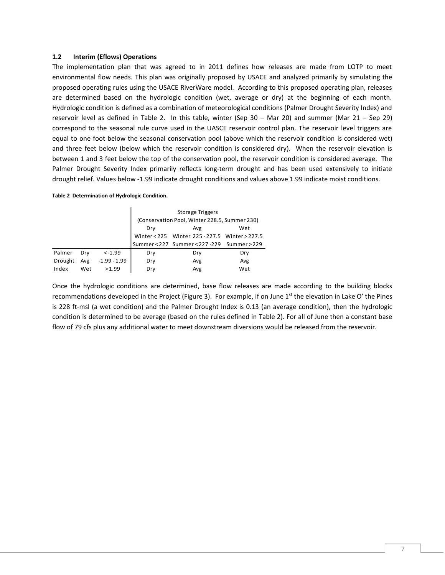#### <span id="page-7-0"></span>**1.2 Interim (Eflows) Operations**

The implementation plan that was agreed to in 2011 defines how releases are made from LOTP to meet environmental flow needs. This plan was originally proposed by USACE and analyzed primarily by simulating the proposed operating rules using the USACE RiverWare model. According to this proposed operating plan, releases are determined based on the hydrologic condition (wet, average or dry) at the beginning of each month. Hydrologic condition is defined as a combination of meteorological conditions (Palmer Drought Severity Index) and reservoir level as defined in [Table 2.](#page-7-1) In this table, winter (Sep 30 – Mar 20) and summer (Mar 21 – Sep 29) correspond to the seasonal rule curve used in the UASCE reservoir control plan. The reservoir level triggers are equal to one foot below the seasonal conservation pool (above which the reservoir condition is considered wet) and three feet below (below which the reservoir condition is considered dry). When the reservoir elevation is between 1 and 3 feet below the top of the conservation pool, the reservoir condition is considered average. The Palmer Drought Severity Index primarily reflects long-term drought and has been used extensively to initiate drought relief. Values below -1.99 indicate drought conditions and values above 1.99 indicate moist conditions.

#### <span id="page-7-1"></span>**Table 2 Determination of Hydrologic Condition.**

|         |     |                | <b>Storage Triggers</b> |                                               |     |  |  |  |  |  |
|---------|-----|----------------|-------------------------|-----------------------------------------------|-----|--|--|--|--|--|
|         |     |                |                         | (Conservation Pool, Winter 228.5, Summer 230) |     |  |  |  |  |  |
|         |     |                | Wet<br>Drv<br>Avg       |                                               |     |  |  |  |  |  |
|         |     |                |                         | Winter<225 Winter 225-227.5 Winter>227.5      |     |  |  |  |  |  |
|         |     |                |                         | Summer < 227 Summer < 227 - 229 Summer > 229  |     |  |  |  |  |  |
| Palmer  | Drv | $< -1.99$      | Dry                     | Dry                                           | Dry |  |  |  |  |  |
| Drought | Avg | $-1.99 - 1.99$ | Dry                     | Avg                                           | Avg |  |  |  |  |  |
| Index   | Wet | >1.99          | Dry                     | Avg                                           | Wet |  |  |  |  |  |

Once the hydrologic conditions are determined, base flow releases are made according to the building blocks recommendations developed in the Project [\(Figure 3\)](#page-8-0). For example, if on June  $1<sup>st</sup>$  the elevation in Lake O' the Pines is 228 ft-msl (a wet condition) and the Palmer Drought Index is 0.13 (an average condition), then the hydrologic condition is determined to be average (based on the rules defined in [Table 2\)](#page-7-1). For all of June then a constant base flow of 79 cfs plus any additional water to meet downstream diversions would be released from the reservoir.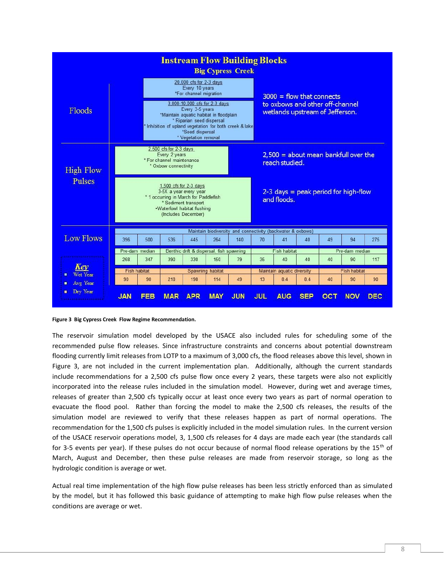| <b>Instream Flow Building Blocks</b><br><b>Big Cypress Creek</b> |                                                                                                                                                                                                                                                                                                       |                     |                                                                                                                            |                                             |                  |                                                                                                   |                                                             |                                        |     |    |                                        |            |
|------------------------------------------------------------------|-------------------------------------------------------------------------------------------------------------------------------------------------------------------------------------------------------------------------------------------------------------------------------------------------------|---------------------|----------------------------------------------------------------------------------------------------------------------------|---------------------------------------------|------------------|---------------------------------------------------------------------------------------------------|-------------------------------------------------------------|----------------------------------------|-----|----|----------------------------------------|------------|
| Floods                                                           | 20,000 cfs for 2-3 days<br>Every 10 years<br>*For channel migration<br>3,000-10,000 cfs for 2-3 days<br>Every 3-5 years<br>*Maintain aquatic habitat in floodplain<br>* Riparian seed dispersal<br>* Inhibition of upland vegetation for both creek & lake<br>*Seed dispersal<br>* Vegetation removal |                     |                                                                                                                            |                                             |                  | $3000 =$ flow that connects<br>to oxbows and other off-channel<br>wetlands upstream of Jefferson. |                                                             |                                        |     |    |                                        |            |
| <b>High Flow</b>                                                 | 2,500 cfs for 2-3 days<br>Every 2 years<br>* For channel maintenance<br>reach studied.<br>* Oxbow connectivity                                                                                                                                                                                        |                     |                                                                                                                            |                                             |                  |                                                                                                   |                                                             | $2,500 =$ about mean bankfull over the |     |    |                                        |            |
| Pulses                                                           |                                                                                                                                                                                                                                                                                                       |                     | 1,500 cfs for $2-3$ days<br>3-5X a year every year<br>* 1 occurring in March for Paddlefish<br>.Waterfowl habitat flushing | * Sediment transport<br>(Includes December) |                  |                                                                                                   |                                                             | and floods.                            |     |    | $2-3$ days = peak period for high-flow |            |
|                                                                  |                                                                                                                                                                                                                                                                                                       |                     |                                                                                                                            |                                             |                  |                                                                                                   | Maintain biodiversity and connectivity (backwater & oxbows) |                                        |     |    |                                        |            |
| <b>Low Flows</b>                                                 | 396                                                                                                                                                                                                                                                                                                   | 500                 | 536                                                                                                                        | 445                                         | 264              | 140                                                                                               | 70                                                          | 41                                     | 40  | 49 | 94                                     | 275        |
|                                                                  |                                                                                                                                                                                                                                                                                                       | Pre-dam median      |                                                                                                                            | Benthic drift & dispersal, fish spawning    |                  |                                                                                                   |                                                             | Fish habitat                           |     |    | Pre-dam median                         |            |
|                                                                  | 268                                                                                                                                                                                                                                                                                                   | 347                 | 390                                                                                                                        | 330                                         | 150              | 79                                                                                                | 35                                                          | 40                                     | 40  | 40 | 90                                     | 117        |
| Kev<br>Wet Year                                                  |                                                                                                                                                                                                                                                                                                       | <b>Fish habitat</b> |                                                                                                                            |                                             | Spawning habitat |                                                                                                   |                                                             | Maintain aquatic diversity             |     |    | <b>Fish habitat</b>                    |            |
| Avg Year<br>o.                                                   | 90                                                                                                                                                                                                                                                                                                    | 90                  | 218                                                                                                                        | 198                                         | 114              | 49                                                                                                | 13                                                          | 8.4                                    | 8.4 | 40 | 90                                     | 90         |
| Dry Year<br>$\blacksquare$                                       | <b>JAN</b>                                                                                                                                                                                                                                                                                            | EEB                 | <b>MAR</b>                                                                                                                 | <b>APR</b>                                  | <b>MAY</b>       | <b>JUN</b>                                                                                        | <b>JUL</b>                                                  | <b>AUG</b>                             | SEP |    | <b>NOV</b>                             | <b>DEC</b> |

<span id="page-8-0"></span>

The reservoir simulation model developed by the USACE also included rules for scheduling some of the recommended pulse flow releases. Since infrastructure constraints and concerns about potential downstream flooding currently limit releases from LOTP to a maximum of 3,000 cfs, the flood releases above this level, shown in [Figure 3,](#page-8-0) are not included in the current implementation plan. Additionally, although the current standards include recommendations for a 2,500 cfs pulse flow once every 2 years, these targets were also not explicitly incorporated into the release rules included in the simulation model. However, during wet and average times, releases of greater than 2,500 cfs typically occur at least once every two years as part of normal operation to evacuate the flood pool. Rather than forcing the model to make the 2,500 cfs releases, the results of the simulation model are reviewed to verify that these releases happen as part of normal operations. The recommendation for the 1,500 cfs pulses is explicitly included in the model simulation rules. In the current version of the USACE reservoir operations model, 3, 1,500 cfs releases for 4 days are made each year (the standards call for 3-5 events per year). If these pulses do not occur because of normal flood release operations by the 15<sup>th</sup> of March, August and December, then these pulse releases are made from reservoir storage, so long as the hydrologic condition is average or wet.

Actual real time implementation of the high flow pulse releases has been less strictly enforced than as simulated by the model, but it has followed this basic guidance of attempting to make high flow pulse releases when the conditions are average or wet.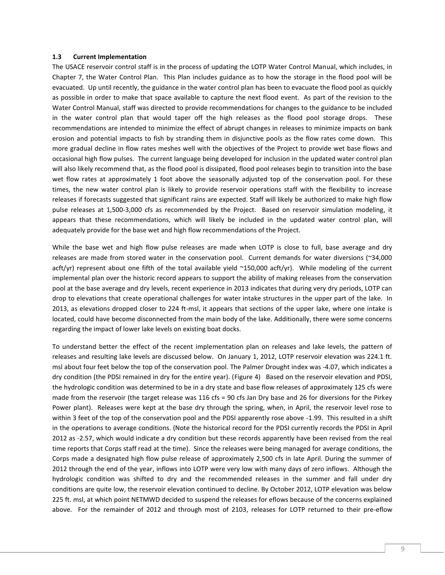#### <span id="page-9-0"></span>**1.3 Current Implementation**

The USACE reservoir control staff is in the process of updating the LOTP Water Control Manual, which includes, in Chapter 7, the Water Control Plan. This Plan includes guidance as to how the storage in the flood pool will be evacuated. Up until recently, the guidance in the water control plan has been to evacuate the flood pool as quickly as possible in order to make that space available to capture the next flood event. As part of the revision to the Water Control Manual, staff was directed to provide recommendations for changes to the guidance to be included in the water control plan that would taper off the high releases as the flood pool storage drops. These recommendations are intended to minimize the effect of abrupt changes in releases to minimize impacts on bank erosion and potential impacts to fish by stranding them in disjunctive pools as the flow rates come down. This more gradual decline in flow rates meshes well with the objectives of the Project to provide wet base flows and occasional high flow pulses. The current language being developed for inclusion in the updated water control plan will also likely recommend that, as the flood pool is dissipated, flood pool releases begin to transition into the base wet flow rates at approximately 1 foot above the seasonally adjusted top of the conservation pool. For these times, the new water control plan is likely to provide reservoir operations staff with the flexibility to increase releases if forecasts suggested that significant rains are expected. Staff will likely be authorized to make high flow pulse releases at 1,500-3,000 cfs as recommended by the Project. Based on reservoir simulation modeling, it appears that these recommendations, which will likely be included in the updated water control plan, will adequately provide for the base wet and high flow recommendations of the Project.

While the base wet and high flow pulse releases are made when LOTP is close to full, base average and dry releases are made from stored water in the conservation pool. Current demands for water diversions (~34,000 acft/yr) represent about one fifth of the total available yield ~150,000 acft/yr). While modeling of the current implemental plan over the historic record appears to support the ability of making releases from the conservation pool at the base average and dry levels, recent experience in 2013 indicates that during very dry periods, LOTP can drop to elevations that create operational challenges for water intake structures in the upper part of the lake. In 2013, as elevations dropped closer to 224 ft-msl, it appears that sections of the upper lake, where one intake is located, could have become disconnected from the main body of the lake. Additionally, there were some concerns regarding the impact of lower lake levels on existing boat docks.

To understand better the effect of the recent implementation plan on releases and lake levels, the pattern of releases and resulting lake levels are discussed below. On January 1, 2012, LOTP reservoir elevation was 224.1 ft. msl about four feet below the top of the conservation pool. The Palmer Drought index was -4.07, which indicates a dry condition (the PDSI remained in dry for the entire year). [\(Figure 4\)](#page-10-0) Based on the reservoir elevation and PDSI, the hydrologic condition was determined to be in a dry state and base flow releases of approximately 125 cfs were made from the reservoir (the target release was 116 cfs = 90 cfs Jan Dry base and 26 for diversions for the Pirkey Power plant). Releases were kept at the base dry through the spring, when, in April, the reservoir level rose to within 3 feet of the top of the conservation pool and the PDSI apparently rose above -1.99. This resulted in a shift in the operations to average conditions. (Note the historical record for the PDSI currently records the PDSI in April 2012 as -2.57, which would indicate a dry condition but these records apparently have been revised from the real time reports that Corps staff read at the time). Since the releases were being managed for average conditions, the Corps made a designated high flow pulse release of approximately 2,500 cfs in late April. During the summer of 2012 through the end of the year, inflows into LOTP were very low with many days of zero inflows. Although the hydrologic condition was shifted to dry and the recommended releases in the summer and fall under dry conditions are quite low, the reservoir elevation continued to decline. By October 2012, LOTP elevation was below 225 ft. msl, at which point NETMWD decided to suspend the releases for eflows because of the concerns explained above. For the remainder of 2012 and through most of 2103, releases for LOTP returned to their pre-eflow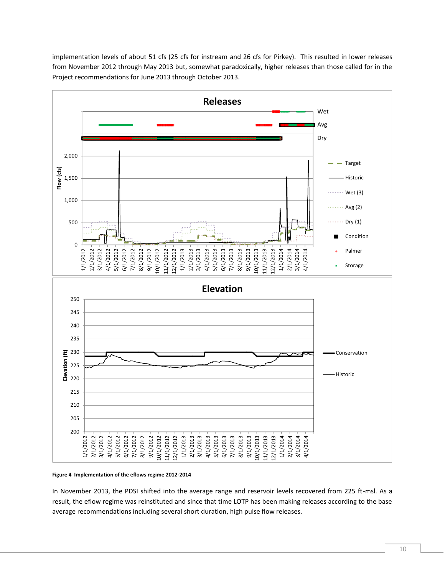

implementation levels of about 51 cfs (25 cfs for instream and 26 cfs for Pirkey). This resulted in lower releases from November 2012 through May 2013 but, somewhat paradoxically, higher releases than those called for in the Project recommendations for June 2013 through October 2013.

#### <span id="page-10-0"></span>**Figure 4 Implementation of the eflows regime 2012-2014**

In November 2013, the PDSI shifted into the average range and reservoir levels recovered from 225 ft-msl. As a result, the eflow regime was reinstituted and since that time LOTP has been making releases according to the base average recommendations including several short duration, high pulse flow releases.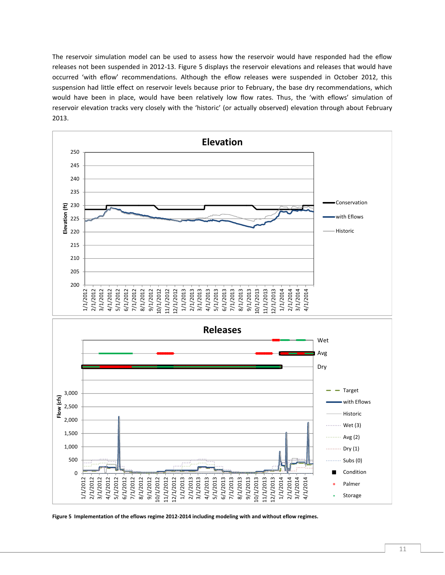The reservoir simulation model can be used to assess how the reservoir would have responded had the eflow releases not been suspended in 2012-13. [Figure 5](#page-11-0) displays the reservoir elevations and releases that would have occurred 'with eflow' recommendations. Although the eflow releases were suspended in October 2012, this suspension had little effect on reservoir levels because prior to February, the base dry recommendations, which would have been in place, would have been relatively low flow rates. Thus, the 'with eflows' simulation of reservoir elevation tracks very closely with the 'historic' (or actually observed) elevation through about February 2013.



<span id="page-11-0"></span>**Figure 5 Implementation of the eflows regime 2012-2014 including modeling with and without eflow regimes.**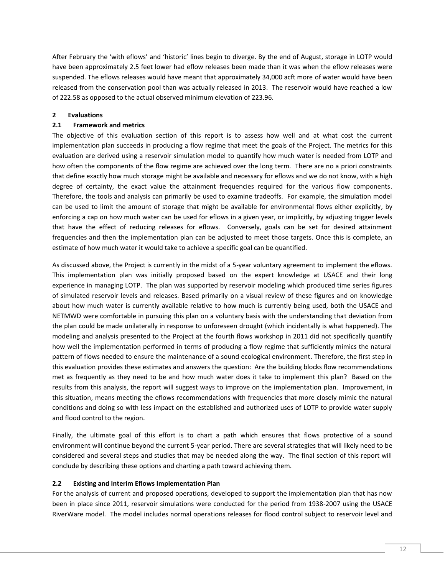After February the 'with eflows' and 'historic' lines begin to diverge. By the end of August, storage in LOTP would have been approximately 2.5 feet lower had eflow releases been made than it was when the eflow releases were suspended. The eflows releases would have meant that approximately 34,000 acft more of water would have been released from the conservation pool than was actually released in 2013. The reservoir would have reached a low of 222.58 as opposed to the actual observed minimum elevation of 223.96.

# <span id="page-12-0"></span>**2 Evaluations**

# <span id="page-12-1"></span>**2.1 Framework and metrics**

The objective of this evaluation section of this report is to assess how well and at what cost the current implementation plan succeeds in producing a flow regime that meet the goals of the Project. The metrics for this evaluation are derived using a reservoir simulation model to quantify how much water is needed from LOTP and how often the components of the flow regime are achieved over the long term. There are no a priori constraints that define exactly how much storage might be available and necessary for eflows and we do not know, with a high degree of certainty, the exact value the attainment frequencies required for the various flow components. Therefore, the tools and analysis can primarily be used to examine tradeoffs. For example, the simulation model can be used to limit the amount of storage that might be available for environmental flows either explicitly, by enforcing a cap on how much water can be used for eflows in a given year, or implicitly, by adjusting trigger levels that have the effect of reducing releases for eflows. Conversely, goals can be set for desired attainment frequencies and then the implementation plan can be adjusted to meet those targets. Once this is complete, an estimate of how much water it would take to achieve a specific goal can be quantified.

As discussed above, the Project is currently in the midst of a 5-year voluntary agreement to implement the eflows. This implementation plan was initially proposed based on the expert knowledge at USACE and their long experience in managing LOTP. The plan was supported by reservoir modeling which produced time series figures of simulated reservoir levels and releases. Based primarily on a visual review of these figures and on knowledge about how much water is currently available relative to how much is currently being used, both the USACE and NETMWD were comfortable in pursuing this plan on a voluntary basis with the understanding that deviation from the plan could be made unilaterally in response to unforeseen drought (which incidentally is what happened). The modeling and analysis presented to the Project at the fourth flows workshop in 2011 did not specifically quantify how well the implementation performed in terms of producing a flow regime that sufficiently mimics the natural pattern of flows needed to ensure the maintenance of a sound ecological environment. Therefore, the first step in this evaluation provides these estimates and answers the question: Are the building blocks flow recommendations met as frequently as they need to be and how much water does it take to implement this plan? Based on the results from this analysis, the report will suggest ways to improve on the implementation plan. Improvement, in this situation, means meeting the eflows recommendations with frequencies that more closely mimic the natural conditions and doing so with less impact on the established and authorized uses of LOTP to provide water supply and flood control to the region.

Finally, the ultimate goal of this effort is to chart a path which ensures that flows protective of a sound environment will continue beyond the current 5-year period. There are several strategies that will likely need to be considered and several steps and studies that may be needed along the way. The final section of this report will conclude by describing these options and charting a path toward achieving them.

## <span id="page-12-2"></span>**2.2 Existing and Interim Eflows Implementation Plan**

For the analysis of current and proposed operations, developed to support the implementation plan that has now been in place since 2011, reservoir simulations were conducted for the period from 1938-2007 using the USACE RiverWare model. The model includes normal operations releases for flood control subject to reservoir level and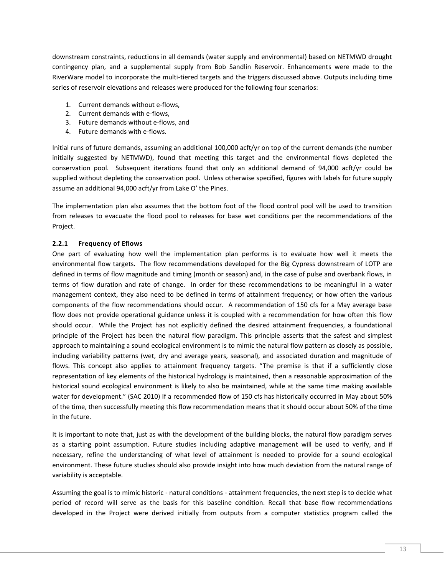downstream constraints, reductions in all demands (water supply and environmental) based on NETMWD drought contingency plan, and a supplemental supply from Bob Sandlin Reservoir. Enhancements were made to the RiverWare model to incorporate the multi-tiered targets and the triggers discussed above. Outputs including time series of reservoir elevations and releases were produced for the following four scenarios:

- 1. Current demands without e-flows,
- 2. Current demands with e-flows,
- 3. Future demands without e-flows, and
- 4. Future demands with e-flows.

Initial runs of future demands, assuming an additional 100,000 acft/yr on top of the current demands (the number initially suggested by NETMWD), found that meeting this target and the environmental flows depleted the conservation pool. Subsequent iterations found that only an additional demand of 94,000 acft/yr could be supplied without depleting the conservation pool. Unless otherwise specified, figures with labels for future supply assume an additional 94,000 acft/yr from Lake O' the Pines.

The implementation plan also assumes that the bottom foot of the flood control pool will be used to transition from releases to evacuate the flood pool to releases for base wet conditions per the recommendations of the Project.

# <span id="page-13-0"></span>**2.2.1 Frequency of Eflows**

One part of evaluating how well the implementation plan performs is to evaluate how well it meets the environmental flow targets. The flow recommendations developed for the Big Cypress downstream of LOTP are defined in terms of flow magnitude and timing (month or season) and, in the case of pulse and overbank flows, in terms of flow duration and rate of change. In order for these recommendations to be meaningful in a water management context, they also need to be defined in terms of attainment frequency; or how often the various components of the flow recommendations should occur. A recommendation of 150 cfs for a May average base flow does not provide operational guidance unless it is coupled with a recommendation for how often this flow should occur. While the Project has not explicitly defined the desired attainment frequencies, a foundational principle of the Project has been the natural flow paradigm. This principle asserts that the safest and simplest approach to maintaining a sound ecological environment is to mimic the natural flow pattern as closely as possible, including variability patterns (wet, dry and average years, seasonal), and associated duration and magnitude of flows. This concept also applies to attainment frequency targets. "The premise is that if a sufficiently close representation of key elements of the historical hydrology is maintained, then a reasonable approximation of the historical sound ecological environment is likely to also be maintained, while at the same time making available water for development." (SAC 2010) If a recommended flow of 150 cfs has historically occurred in May about 50% of the time, then successfully meeting this flow recommendation means that it should occur about 50% of the time in the future.

It is important to note that, just as with the development of the building blocks, the natural flow paradigm serves as a starting point assumption. Future studies including adaptive management will be used to verify, and if necessary, refine the understanding of what level of attainment is needed to provide for a sound ecological environment. These future studies should also provide insight into how much deviation from the natural range of variability is acceptable.

Assuming the goal is to mimic historic - natural conditions - attainment frequencies, the next step is to decide what period of record will serve as the basis for this baseline condition. Recall that base flow recommendations developed in the Project were derived initially from outputs from a computer statistics program called the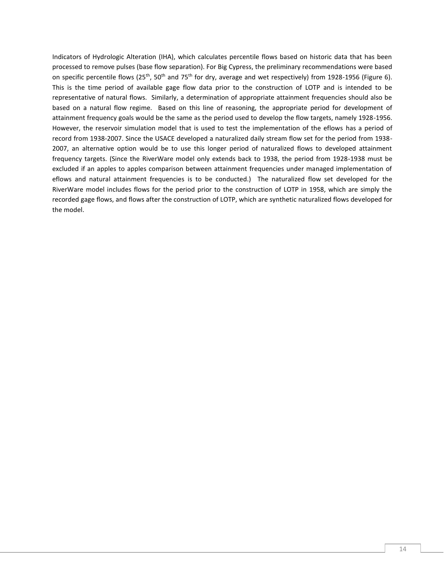Indicators of Hydrologic Alteration (IHA), which calculates percentile flows based on historic data that has been processed to remove pulses (base flow separation). For Big Cypress, the preliminary recommendations were based on specific percentile flows (25<sup>th</sup>, 50<sup>th</sup> and 75<sup>th</sup> for dry, average and wet respectively) from 1928-1956 [\(Figure 6\)](#page-15-0). This is the time period of available gage flow data prior to the construction of LOTP and is intended to be representative of natural flows. Similarly, a determination of appropriate attainment frequencies should also be based on a natural flow regime. Based on this line of reasoning, the appropriate period for development of attainment frequency goals would be the same as the period used to develop the flow targets, namely 1928-1956. However, the reservoir simulation model that is used to test the implementation of the eflows has a period of record from 1938-2007. Since the USACE developed a naturalized daily stream flow set for the period from 1938- 2007, an alternative option would be to use this longer period of naturalized flows to developed attainment frequency targets. (Since the RiverWare model only extends back to 1938, the period from 1928-1938 must be excluded if an apples to apples comparison between attainment frequencies under managed implementation of eflows and natural attainment frequencies is to be conducted.) The naturalized flow set developed for the RiverWare model includes flows for the period prior to the construction of LOTP in 1958, which are simply the recorded gage flows, and flows after the construction of LOTP, which are synthetic naturalized flows developed for the model.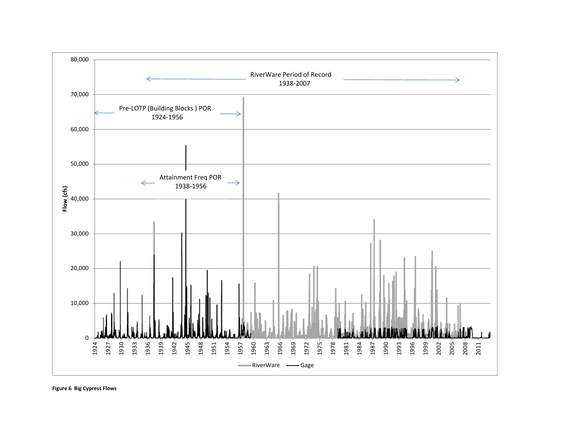<span id="page-15-0"></span>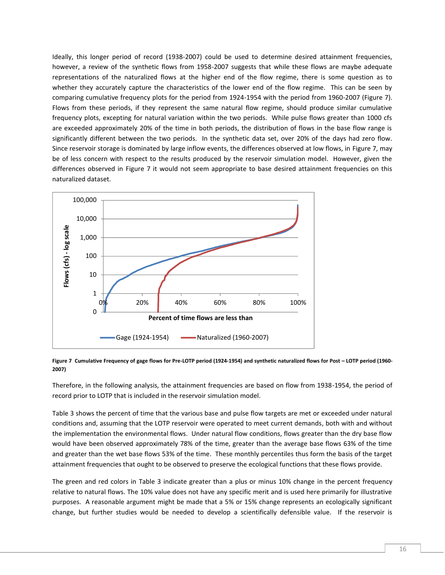Ideally, this longer period of record (1938-2007) could be used to determine desired attainment frequencies, however, a review of the synthetic flows from 1958-2007 suggests that while these flows are maybe adequate representations of the naturalized flows at the higher end of the flow regime, there is some question as to whether they accurately capture the characteristics of the lower end of the flow regime. This can be seen by comparing cumulative frequency plots for the period from 1924-1954 with the period from 1960-2007 [\(Figure 7\)](#page-16-0). Flows from these periods, if they represent the same natural flow regime, should produce similar cumulative frequency plots, excepting for natural variation within the two periods. While pulse flows greater than 1000 cfs are exceeded approximately 20% of the time in both periods, the distribution of flows in the base flow range is significantly different between the two periods. In the synthetic data set, over 20% of the days had zero flow. Since reservoir storage is dominated by large inflow events, the differences observed at low flows, in [Figure 7,](#page-16-0) may be of less concern with respect to the results produced by the reservoir simulation model. However, given the differences observed in [Figure 7](#page-16-0) it would not seem appropriate to base desired attainment frequencies on this naturalized dataset.



<span id="page-16-0"></span>**Figure 7 Cumulative Frequency of gage flows for Pre-LOTP period (1924-1954) and synthetic naturalized flows for Post – LOTP period (1960- 2007)**

Therefore, in the following analysis, the attainment frequencies are based on flow from 1938-1954, the period of record prior to LOTP that is included in the reservoir simulation model.

[Table 3](#page-17-0) shows the percent of time that the various base and pulse flow targets are met or exceeded under natural conditions and, assuming that the LOTP reservoir were operated to meet current demands, both with and without the implementation the environmental flows. Under natural flow conditions, flows greater than the dry base flow would have been observed approximately 78% of the time, greater than the average base flows 63% of the time and greater than the wet base flows 53% of the time. These monthly percentiles thus form the basis of the target attainment frequencies that ought to be observed to preserve the ecological functions that these flows provide.

The green and red colors in [Table 3](#page-17-0) indicate greater than a plus or minus 10% change in the percent frequency relative to natural flows. The 10% value does not have any specific merit and is used here primarily for illustrative purposes. A reasonable argument might be made that a 5% or 15% change represents an ecologically significant change, but further studies would be needed to develop a scientifically defensible value. If the reservoir is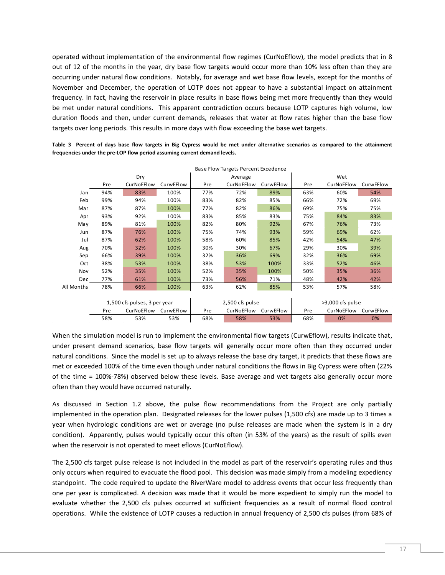operated without implementation of the environmental flow regimes (CurNoEflow), the model predicts that in 8 out of 12 of the months in the year, dry base flow targets would occur more than 10% less often than they are occurring under natural flow conditions. Notably, for average and wet base flow levels, except for the months of November and December, the operation of LOTP does not appear to have a substantial impact on attainment frequency. In fact, having the reservoir in place results in base flows being met more frequently than they would be met under natural conditions. This apparent contradiction occurs because LOTP captures high volume, low duration floods and then, under current demands, releases that water at flow rates higher than the base flow targets over long periods. This results in more days with flow exceeding the base wet targets.

|            |                                |     |      |                 | <b>Base Flow Targets Percent Excedence</b> |      |                  |           |     |  |
|------------|--------------------------------|-----|------|-----------------|--------------------------------------------|------|------------------|-----------|-----|--|
|            |                                | Dry |      |                 | Average                                    |      | Wet              |           |     |  |
|            | CurNoEFlow<br>CurwEFlow<br>Pre |     | Pre  | CurNoEFlow      | CurwEFlow                                  | Pre  | CurNoEFlow       | CurwEFlow |     |  |
| Jan        | 94%                            | 83% | 100% | 77%             | 72%                                        | 89%  | 63%              | 60%       | 54% |  |
| Feb        | 99%                            | 94% | 100% | 83%             | 82%                                        | 85%  | 66%              | 72%       | 69% |  |
| Mar        | 87%                            | 87% | 100% | 77%             | 82%                                        | 86%  | 69%              | 75%       | 75% |  |
| Apr        | 93%                            | 92% | 100% | 83%             | 85%                                        | 83%  | 75%              | 84%       | 83% |  |
| May        | 89%                            | 81% | 100% | 82%             | 80%                                        | 92%  | 67%              | 76%       | 73% |  |
| Jun        | 87%                            | 76% | 100% | 75%             | 74%                                        | 93%  | 59%              | 69%       | 62% |  |
| Jul        | 87%                            | 62% | 100% | 58%             | 60%                                        | 85%  | 42%              | 54%       | 47% |  |
| Aug        | 70%                            | 32% | 100% | 30%             | 30%                                        | 67%  | 29%              | 30%       | 39% |  |
| Sep        | 66%                            | 39% | 100% | 32%             | 36%                                        | 69%  | 32%              | 36%       | 69% |  |
| Oct        | 38%                            | 53% | 100% | 38%             | 53%                                        | 100% | 33%              | 52%       | 46% |  |
| Nov        | 52%                            | 35% | 100% | 52%             | 35%                                        | 100% | 50%              | 35%       | 36% |  |
| Dec        | 77%                            | 61% | 100% | 73%             | 56%                                        | 71%  | 48%              | 42%       | 42% |  |
| All Months | 78%                            | 66% | 100% | 63%             | 62%                                        | 85%  | 53%              | 57%       | 58% |  |
|            |                                |     |      |                 |                                            |      |                  |           |     |  |
|            | 1,500 cfs pulses, 3 per year   |     |      | 2,500 cfs pulse |                                            |      | >3,000 cfs pulse |           |     |  |
|            | CurNoEFlow<br>CurwEFlow<br>Pre |     | Pre  | CurNoEFlow      | CurwEFlow                                  | Pre  | CurNoEFlow       | CurwEFlow |     |  |
|            | 58%                            | 53% | 53%  | 68%             | 58%                                        | 53%  | 68%              | 0%        | 0%  |  |

<span id="page-17-0"></span>**Table 3 Percent of days base flow targets in Big Cypress would be met under alternative scenarios as compared to the attainment frequencies under the pre-LOP flow period assuming current demand levels.**

When the simulation model is run to implement the environmental flow targets (CurwEflow), results indicate that, under present demand scenarios, base flow targets will generally occur more often than they occurred under natural conditions. Since the model is set up to always release the base dry target, it predicts that these flows are met or exceeded 100% of the time even though under natural conditions the flows in Big Cypress were often (22% of the time = 100%-78%) observed below these levels. Base average and wet targets also generally occur more often than they would have occurred naturally.

As discussed in Section [1.2](#page-7-0) above, the pulse flow recommendations from the Project are only partially implemented in the operation plan. Designated releases for the lower pulses (1,500 cfs) are made up to 3 times a year when hydrologic conditions are wet or average (no pulse releases are made when the system is in a dry condition). Apparently, pulses would typically occur this often (in 53% of the years) as the result of spills even when the reservoir is not operated to meet eflows (CurNoEflow).

The 2,500 cfs target pulse release is not included in the model as part of the reservoir's operating rules and thus only occurs when required to evacuate the flood pool. This decision was made simply from a modeling expediency standpoint. The code required to update the RiverWare model to address events that occur less frequently than one per year is complicated. A decision was made that it would be more expedient to simply run the model to evaluate whether the 2,500 cfs pulses occurred at sufficient frequencies as a result of normal flood control operations. While the existence of LOTP causes a reduction in annual frequency of 2,500 cfs pulses (from 68% of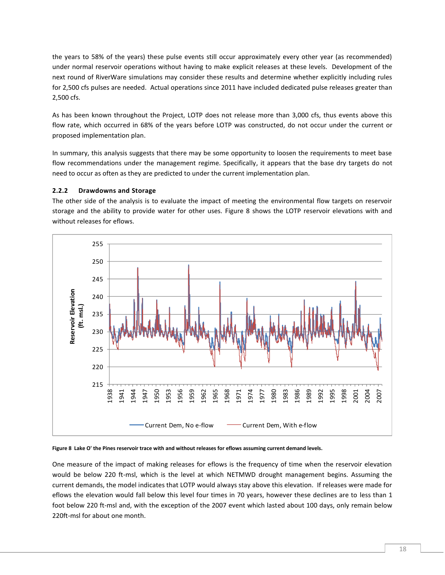the years to 58% of the years) these pulse events still occur approximately every other year (as recommended) under normal reservoir operations without having to make explicit releases at these levels. Development of the next round of RiverWare simulations may consider these results and determine whether explicitly including rules for 2,500 cfs pulses are needed. Actual operations since 2011 have included dedicated pulse releases greater than 2,500 cfs.

As has been known throughout the Project, LOTP does not release more than 3,000 cfs, thus events above this flow rate, which occurred in 68% of the years before LOTP was constructed, do not occur under the current or proposed implementation plan.

In summary, this analysis suggests that there may be some opportunity to loosen the requirements to meet base flow recommendations under the management regime. Specifically, it appears that the base dry targets do not need to occur as often as they are predicted to under the current implementation plan.

# <span id="page-18-0"></span>**2.2.2 Drawdowns and Storage**

The other side of the analysis is to evaluate the impact of meeting the environmental flow targets on reservoir storage and the ability to provide water for other uses. [Figure 8](#page-18-1) shows the LOTP reservoir elevations with and without releases for eflows.



#### <span id="page-18-1"></span>**Figure 8 Lake O' the Pines reservoir trace with and without releases for eflows assuming current demand levels.**

One measure of the impact of making releases for eflows is the frequency of time when the reservoir elevation would be below 220 ft-msl, which is the level at which NETMWD drought management begins. Assuming the current demands, the model indicates that LOTP would always stay above this elevation. If releases were made for eflows the elevation would fall below this level four times in 70 years, however these declines are to less than 1 foot below 220 ft-msl and, with the exception of the 2007 event which lasted about 100 days, only remain below 220ft-msl for about one month.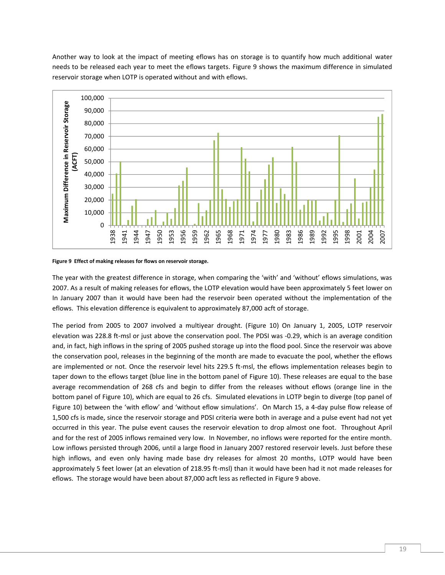Another way to look at the impact of meeting eflows has on storage is to quantify how much additional water needs to be released each year to meet the eflows targets. [Figure 9](#page-19-0) shows the maximum difference in simulated reservoir storage when LOTP is operated without and with eflows.



<span id="page-19-0"></span>**Figure 9 Effect of making releases for flows on reservoir storage.**

The year with the greatest difference in storage, when comparing the 'with' and 'without' eflows simulations, was 2007. As a result of making releases for eflows, the LOTP elevation would have been approximately 5 feet lower on In January 2007 than it would have been had the reservoir been operated without the implementation of the eflows. This elevation difference is equivalent to approximately 87,000 acft of storage.

The period from 2005 to 2007 involved a multiyear drought. [\(Figure 10\)](#page-20-0) On January 1, 2005, LOTP reservoir elevation was 228.8 ft-msl or just above the conservation pool. The PDSI was -0.29, which is an average condition and, in fact, high inflows in the spring of 2005 pushed storage up into the flood pool. Since the reservoir was above the conservation pool, releases in the beginning of the month are made to evacuate the pool, whether the eflows are implemented or not. Once the reservoir level hits 229.5 ft-msl, the eflows implementation releases begin to taper down to the eflows target (blue line in the bottom panel of [Figure 10\)](#page-20-0). These releases are equal to the base average recommendation of 268 cfs and begin to differ from the releases without eflows (orange line in the bottom panel of [Figure 10\)](#page-20-0), which are equal to 26 cfs. Simulated elevations in LOTP begin to diverge (top panel of [Figure 10](#page-20-0)) between the 'with eflow' and 'without eflow simulations'. On March 15, a 4-day pulse flow release of 1,500 cfs is made, since the reservoir storage and PDSI criteria were both in average and a pulse event had not yet occurred in this year. The pulse event causes the reservoir elevation to drop almost one foot. Throughout April and for the rest of 2005 inflows remained very low. In November, no inflows were reported for the entire month. Low inflows persisted through 2006, until a large flood in January 2007 restored reservoir levels. Just before these high inflows, and even only having made base dry releases for almost 20 months, LOTP would have been approximately 5 feet lower (at an elevation of 218.95 ft-msl) than it would have been had it not made releases for eflows. The storage would have been about 87,000 acft less as reflected in [Figure 9](#page-19-0) above.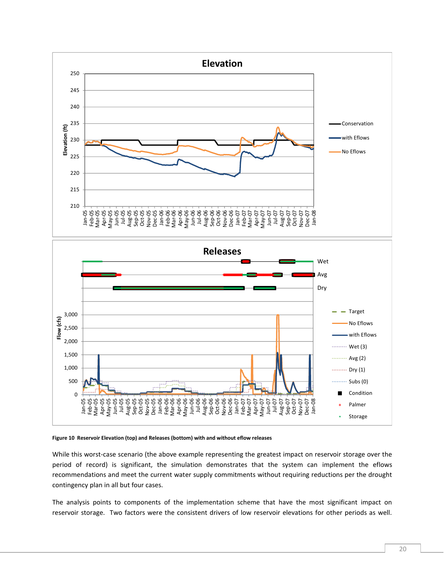

#### <span id="page-20-0"></span>**Figure 10 Reservoir Elevation (top) and Releases (bottom) with and without eflow releases**

While this worst-case scenario (the above example representing the greatest impact on reservoir storage over the period of record) is significant, the simulation demonstrates that the system can implement the eflows recommendations and meet the current water supply commitments without requiring reductions per the drought contingency plan in all but four cases.

The analysis points to components of the implementation scheme that have the most significant impact on reservoir storage. Two factors were the consistent drivers of low reservoir elevations for other periods as well.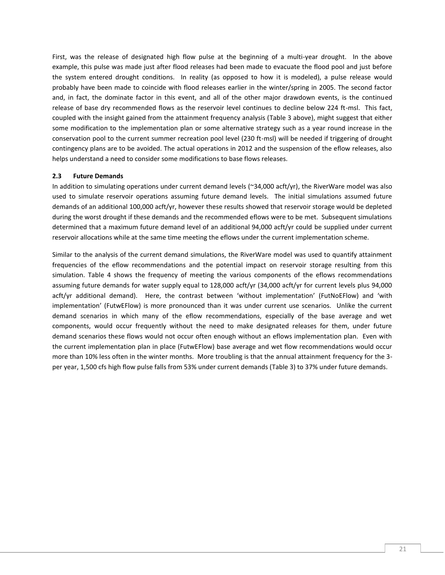First, was the release of designated high flow pulse at the beginning of a multi-year drought. In the above example, this pulse was made just after flood releases had been made to evacuate the flood pool and just before the system entered drought conditions. In reality (as opposed to how it is modeled), a pulse release would probably have been made to coincide with flood releases earlier in the winter/spring in 2005. The second factor and, in fact, the dominate factor in this event, and all of the other major drawdown events, is the continued release of base dry recommended flows as the reservoir level continues to decline below 224 ft-msl. This fact, coupled with the insight gained from the attainment frequency analysis [\(Table 3](#page-17-0) above), might suggest that either some modification to the implementation plan or some alternative strategy such as a year round increase in the conservation pool to the current summer recreation pool level (230 ft-msl) will be needed if triggering of drought contingency plans are to be avoided. The actual operations in 2012 and the suspension of the eflow releases, also helps understand a need to consider some modifications to base flows releases.

# <span id="page-21-0"></span>**2.3 Future Demands**

In addition to simulating operations under current demand levels ( $\approx$ 34,000 acft/yr), the RiverWare model was also used to simulate reservoir operations assuming future demand levels. The initial simulations assumed future demands of an additional 100,000 acft/yr, however these results showed that reservoir storage would be depleted during the worst drought if these demands and the recommended eflows were to be met. Subsequent simulations determined that a maximum future demand level of an additional 94,000 acft/yr could be supplied under current reservoir allocations while at the same time meeting the eflows under the current implementation scheme.

Similar to the analysis of the current demand simulations, the RiverWare model was used to quantify attainment frequencies of the eflow recommendations and the potential impact on reservoir storage resulting from this simulation. [Table 4](#page-22-0) shows the frequency of meeting the various components of the eflows recommendations assuming future demands for water supply equal to 128,000 acft/yr (34,000 acft/yr for current levels plus 94,000 acft/yr additional demand). Here, the contrast between 'without implementation' (FutNoEFlow) and 'with implementation' (FutwEFlow) is more pronounced than it was under current use scenarios. Unlike the current demand scenarios in which many of the eflow recommendations, especially of the base average and wet components, would occur frequently without the need to make designated releases for them, under future demand scenarios these flows would not occur often enough without an eflows implementation plan. Even with the current implementation plan in place (FutwEFlow) base average and wet flow recommendations would occur more than 10% less often in the winter months. More troubling is that the annual attainment frequency for the 3 per year, 1,500 cfs high flow pulse falls from 53% under current demands [\(Table 3\)](#page-17-0) to 37% under future demands.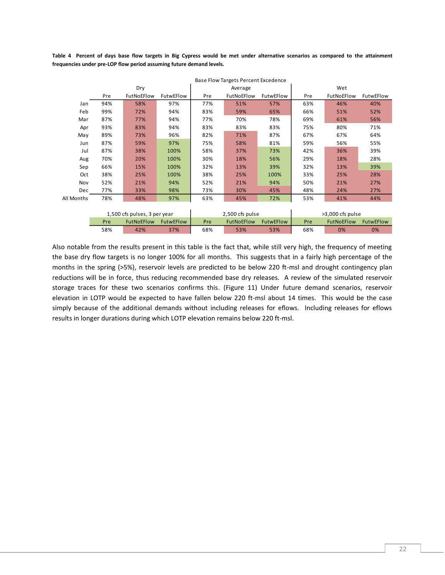<span id="page-22-0"></span>**Table 4 Percent of days base flow targets in Big Cypress would be met under alternative scenarios as compared to the attainment frequencies under pre-LOP flow period assuming future demand levels.**

|            | Base Flow Targets Percent Excedence          |     |      |                   |                  |           |                  |                  |           |  |
|------------|----------------------------------------------|-----|------|-------------------|------------------|-----------|------------------|------------------|-----------|--|
|            |                                              | Dry |      |                   | Average          |           | Wet              |                  |           |  |
|            | FutNoEFlow<br>Pre<br>FutwEFlow               |     |      | Pre               | FutNoEFlow       | FutwEFlow | Pre              | FutNoEFlow       | FutwEFlow |  |
| Jan        | 94%                                          | 58% | 97%  | 77%               | 51%              | 57%       | 63%              | 46%              | 40%       |  |
| Feb        | 99%                                          | 72% | 94%  | 83%               | 59%              | 65%       | 66%              | 51%              | 52%       |  |
| Mar        | 87%                                          | 77% | 94%  | 77%               | 70%              | 78%       | 69%              | 61%              | 56%       |  |
| Apr        | 93%                                          | 83% | 94%  | 83%               | 83%              | 83%       | 75%              | 80%              | 71%       |  |
| May        | 89%                                          | 73% | 96%  | 82%               | 71%              | 87%       | 67%              | 67%              | 64%       |  |
| Jun        | 87%                                          | 59% | 97%  | 75%               | 58%              | 81%       | 59%              | 56%              | 55%       |  |
| Jul        | 87%                                          | 38% | 100% | 58%               | 37%              | 73%       | 42%              | 36%              | 39%       |  |
| Aug        | 70%                                          | 20% | 100% | 30%               | 18%              | 56%       | 29%              | 18%              | 28%       |  |
| Sep        | 66%                                          | 15% | 100% | 32%               | 13%              | 39%       | 32%              | 13%              | 39%       |  |
| Oct        | 38%                                          | 25% | 100% | 38%               | 25%              | 100%      | 33%              | 25%              | 28%       |  |
| Nov        | 52%                                          | 21% | 94%  | 52%               | 21%              | 94%       | 50%              | 21%              | 27%       |  |
| Dec        | 77%                                          | 33% | 98%  | 73%               | 30%              | 45%       | 48%              | 24%              | 27%       |  |
| All Months | 78%                                          | 48% | 97%  | 63%               | 45%              | 72%       | 53%              | 41%              | 44%       |  |
|            |                                              |     |      |                   |                  |           |                  |                  |           |  |
|            | 1,500 cfs pulses, 3 per year                 |     |      | 2,500 cfs pulse   |                  |           | >3,000 cfs pulse |                  |           |  |
|            | Pre<br><b>FutNoEFlow</b><br><b>FutwEFlow</b> |     | Pre  | <b>FutNoEFlow</b> | <b>FutwEFlow</b> | Pre       | FutNoEFlow       | <b>FutwEFlow</b> |           |  |
|            | 58%<br>42%<br>37%                            |     | 68%  | 53%               | 53%              | 68%       | 0%               | 0%               |           |  |

Also notable from the results present in this table is the fact that, while still very high, the frequency of meeting the base dry flow targets is no longer 100% for all months. This suggests that in a fairly high percentage of the months in the spring (>5%), reservoir levels are predicted to be below 220 ft-msl and drought contingency plan reductions will be in force, thus reducing recommended base dry releases. A review of the simulated reservoir storage traces for these two scenarios confirms this. [\(Figure 11\)](#page-23-1) Under future demand scenarios, reservoir elevation in LOTP would be expected to have fallen below 220 ft-msl about 14 times. This would be the case simply because of the additional demands without including releases for eflows. Including releases for eflows results in longer durations during which LOTP elevation remains below 220 ft-msl.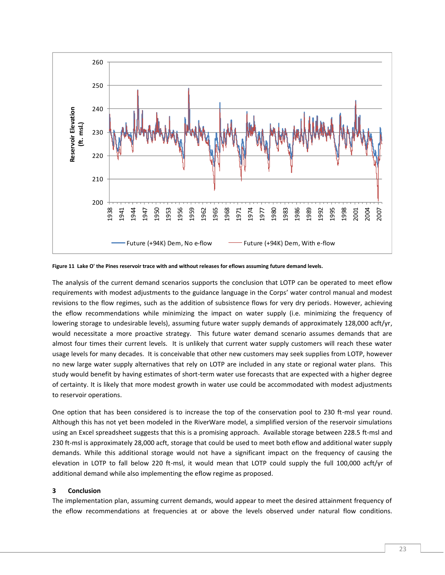

<span id="page-23-1"></span>**Figure 11 Lake O' the Pines reservoir trace with and without releases for eflows assuming future demand levels.**

The analysis of the current demand scenarios supports the conclusion that LOTP can be operated to meet eflow requirements with modest adjustments to the guidance language in the Corps' water control manual and modest revisions to the flow regimes, such as the addition of subsistence flows for very dry periods. However, achieving the eflow recommendations while minimizing the impact on water supply (i.e. minimizing the frequency of lowering storage to undesirable levels), assuming future water supply demands of approximately 128,000 acft/yr, would necessitate a more proactive strategy. This future water demand scenario assumes demands that are almost four times their current levels. It is unlikely that current water supply customers will reach these water usage levels for many decades. It is conceivable that other new customers may seek supplies from LOTP, however no new large water supply alternatives that rely on LOTP are included in any state or regional water plans. This study would benefit by having estimates of short-term water use forecasts that are expected with a higher degree of certainty. It is likely that more modest growth in water use could be accommodated with modest adjustments to reservoir operations.

One option that has been considered is to increase the top of the conservation pool to 230 ft-msl year round. Although this has not yet been modeled in the RiverWare model, a simplified version of the reservoir simulations using an Excel spreadsheet suggests that this is a promising approach. Available storage between 228.5 ft-msl and 230 ft-msl is approximately 28,000 acft, storage that could be used to meet both eflow and additional water supply demands. While this additional storage would not have a significant impact on the frequency of causing the elevation in LOTP to fall below 220 ft-msl, it would mean that LOTP could supply the full 100,000 acft/yr of additional demand while also implementing the eflow regime as proposed.

# <span id="page-23-0"></span>**3 Conclusion**

The implementation plan, assuming current demands, would appear to meet the desired attainment frequency of the eflow recommendations at frequencies at or above the levels observed under natural flow conditions.